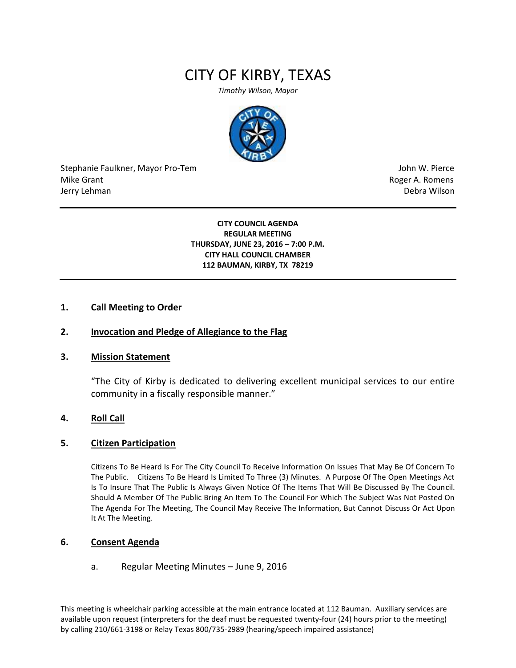# CITY OF KIRBY, TEXAS

*Timothy Wilson, Mayor*



Stephanie Faulkner, Mayor Pro-Tem John W. Pierce Mike Grant **Mike Grant** Roger A. Romens **Contract A. Romens Roger A. Romens** Jerry Lehman Debra Wilson (2008) and the state of the state of the state of the state of the state of the state of the state of the state of the state of the state of the state of the state of the state of the state of the

**CITY COUNCIL AGENDA REGULAR MEETING THURSDAY, JUNE 23, 2016 – 7:00 P.M. CITY HALL COUNCIL CHAMBER 112 BAUMAN, KIRBY, TX 78219**

## **1. Call Meeting to Order**

## **2. Invocation and Pledge of Allegiance to the Flag**

#### **3. Mission Statement**

"The City of Kirby is dedicated to delivering excellent municipal services to our entire community in a fiscally responsible manner."

#### **4. Roll Call**

#### **5. Citizen Participation**

Citizens To Be Heard Is For The City Council To Receive Information On Issues That May Be Of Concern To The Public. Citizens To Be Heard Is Limited To Three (3) Minutes. A Purpose Of The Open Meetings Act Is To Insure That The Public Is Always Given Notice Of The Items That Will Be Discussed By The Council. Should A Member Of The Public Bring An Item To The Council For Which The Subject Was Not Posted On The Agenda For The Meeting, The Council May Receive The Information, But Cannot Discuss Or Act Upon It At The Meeting.

# **6. Consent Agenda**

#### a. Regular Meeting Minutes – June 9, 2016

This meeting is wheelchair parking accessible at the main entrance located at 112 Bauman. Auxiliary services are available upon request (interpreters for the deaf must be requested twenty-four (24) hours prior to the meeting) by calling 210/661-3198 or Relay Texas 800/735-2989 (hearing/speech impaired assistance)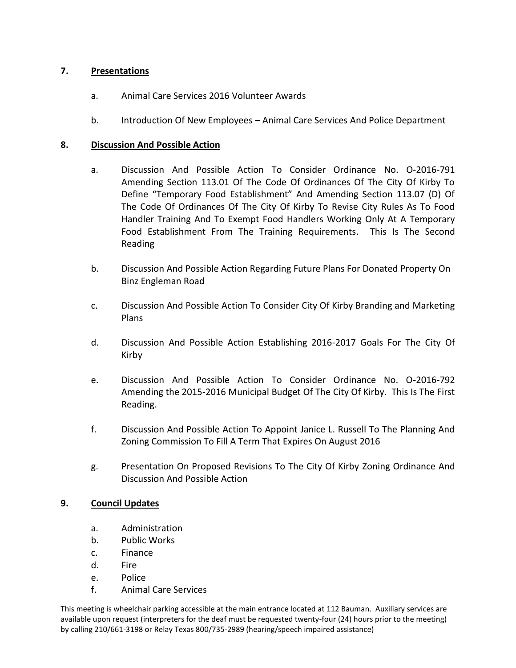# **7. Presentations**

- a. Animal Care Services 2016 Volunteer Awards
- b. Introduction Of New Employees Animal Care Services And Police Department

# **8. Discussion And Possible Action**

- a. Discussion And Possible Action To Consider Ordinance No. O-2016-791 Amending Section 113.01 Of The Code Of Ordinances Of The City Of Kirby To Define "Temporary Food Establishment" And Amending Section 113.07 (D) Of The Code Of Ordinances Of The City Of Kirby To Revise City Rules As To Food Handler Training And To Exempt Food Handlers Working Only At A Temporary Food Establishment From The Training Requirements. This Is The Second Reading
- b. Discussion And Possible Action Regarding Future Plans For Donated Property On Binz Engleman Road
- c. Discussion And Possible Action To Consider City Of Kirby Branding and Marketing Plans
- d. Discussion And Possible Action Establishing 2016-2017 Goals For The City Of Kirby
- e. Discussion And Possible Action To Consider Ordinance No. O-2016-792 Amending the 2015-2016 Municipal Budget Of The City Of Kirby. This Is The First Reading.
- f. Discussion And Possible Action To Appoint Janice L. Russell To The Planning And Zoning Commission To Fill A Term That Expires On August 2016
- g. Presentation On Proposed Revisions To The City Of Kirby Zoning Ordinance And Discussion And Possible Action

# **9. Council Updates**

- a. Administration
- b. Public Works
- c. Finance
- d. Fire
- e. Police
- f. Animal Care Services

This meeting is wheelchair parking accessible at the main entrance located at 112 Bauman. Auxiliary services are available upon request (interpreters for the deaf must be requested twenty-four (24) hours prior to the meeting) by calling 210/661-3198 or Relay Texas 800/735-2989 (hearing/speech impaired assistance)